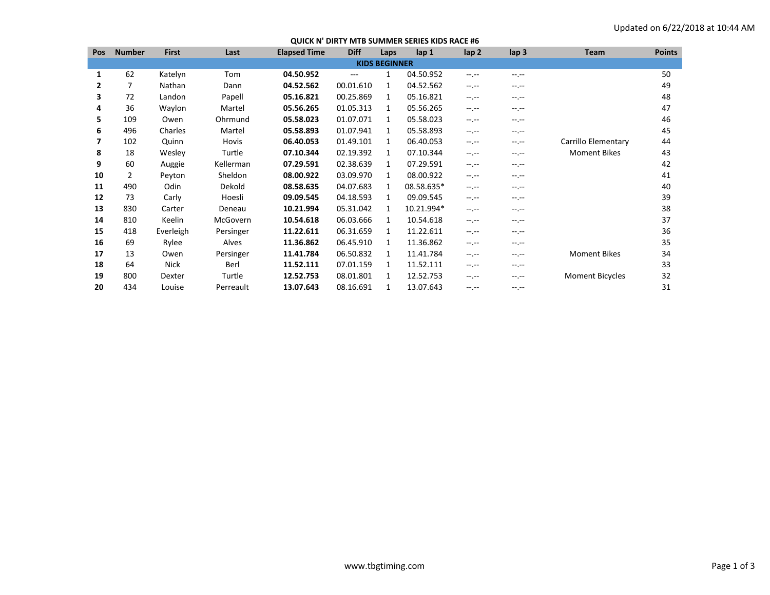| <b>Pos</b> | <b>Number</b>        | <b>First</b> | Last      | <b>Elapsed Time</b> | <b>Diff</b> | Laps         | lap <sub>1</sub> | lap <sub>2</sub> | lap <sub>3</sub> | Team                   | <b>Points</b> |
|------------|----------------------|--------------|-----------|---------------------|-------------|--------------|------------------|------------------|------------------|------------------------|---------------|
|            | <b>KIDS BEGINNER</b> |              |           |                     |             |              |                  |                  |                  |                        |               |
| 1          | 62                   | Katelyn      | Tom       | 04.50.952           | $---$       |              | 04.50.952        | $-1$ .           | $-1$ .           |                        | 50            |
| 2          | 7                    | Nathan       | Dann      | 04.52.562           | 00.01.610   | 1            | 04.52.562        | --.--            | --.--            |                        | 49            |
| 3          | 72                   | Landon       | Papell    | 05.16.821           | 00.25.869   | 1            | 05.16.821        | $-1$             | --.--            |                        | 48            |
| 4          | 36                   | Waylon       | Martel    | 05.56.265           | 01.05.313   | $\mathbf{1}$ | 05.56.265        | $-1$             | $-1.1 -$         |                        | 47            |
| 5          | 109                  | Owen         | Ohrmund   | 05.58.023           | 01.07.071   | $\mathbf{1}$ | 05.58.023        | $-1$             | --.--            |                        | 46            |
| 6          | 496                  | Charles      | Martel    | 05.58.893           | 01.07.941   | 1            | 05.58.893        | $-1$             | --.--            |                        | 45            |
|            | 102                  | Quinn        | Hovis     | 06.40.053           | 01.49.101   | $\mathbf{1}$ | 06.40.053        | $-1$             | $-1.1 -$         | Carrillo Elementary    | 44            |
| 8          | 18                   | Wesley       | Turtle    | 07.10.344           | 02.19.392   | 1            | 07.10.344        | $-1$ , $-1$      | --.--            | <b>Moment Bikes</b>    | 43            |
| 9          | 60                   | Auggie       | Kellerman | 07.29.591           | 02.38.639   | 1            | 07.29.591        | --.--            | --.--            |                        | 42            |
| 10         | 2                    | Peyton       | Sheldon   | 08.00.922           | 03.09.970   | $\mathbf{1}$ | 08.00.922        | $-1$ , $-1$      | $-1$ . $-1$      |                        | 41            |
| 11         | 490                  | Odin         | Dekold    | 08.58.635           | 04.07.683   | $\mathbf{1}$ | 08.58.635*       | --.--            | --.--            |                        | 40            |
| 12         | 73                   | Carly        | Hoesli    | 09.09.545           | 04.18.593   | 1            | 09.09.545        | $-1$ .           | $-1.1 -$         |                        | 39            |
| 13         | 830                  | Carter       | Deneau    | 10.21.994           | 05.31.042   | 1            | 10.21.994*       | $-1$             | $-1$ .           |                        | 38            |
| 14         | 810                  | Keelin       | McGovern  | 10.54.618           | 06.03.666   | 1            | 10.54.618        | --.--            | --.--            |                        | 37            |
| 15         | 418                  | Everleigh    | Persinger | 11.22.611           | 06.31.659   | $\mathbf{1}$ | 11.22.611        | $-1$             | --.--            |                        | 36            |
| 16         | 69                   | Rylee        | Alves     | 11.36.862           | 06.45.910   | 1            | 11.36.862        | $-1$             | --.--            |                        | 35            |
| 17         | 13                   | Owen         | Persinger | 11.41.784           | 06.50.832   | 1            | 11.41.784        | $-1$ , $-1$      | --.--            | <b>Moment Bikes</b>    | 34            |
| 18         | 64                   | Nick         | Berl      | 11.52.111           | 07.01.159   | 1            | 11.52.111        | $-1$ , $-1$      | $-1$ .           |                        | 33            |
| 19         | 800                  | Dexter       | Turtle    | 12.52.753           | 08.01.801   | 1            | 12.52.753        | $-1$ .           | --.--            | <b>Moment Bicycles</b> | 32            |
| 20         | 434                  | Louise       | Perreault | 13.07.643           | 08.16.691   |              | 13.07.643        | $-1$ , $-1$      | $-1$             |                        | 31            |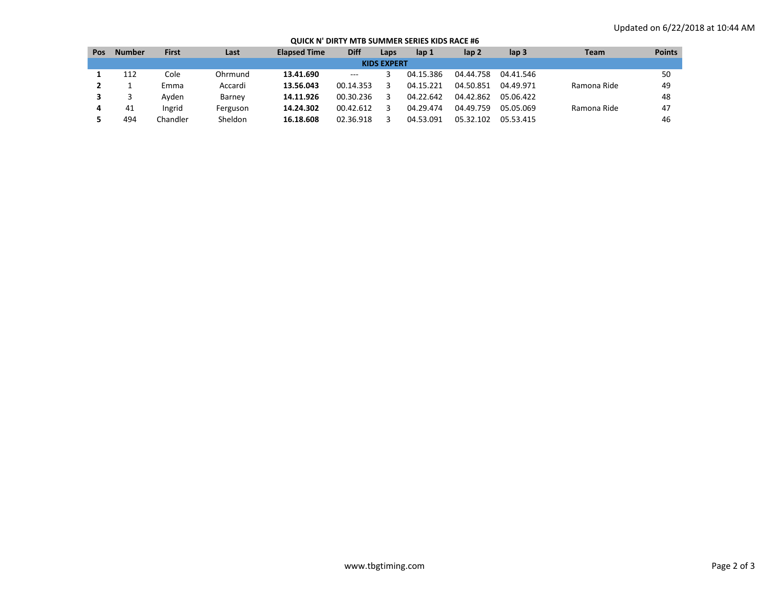## **QUICK N' DIRTY MTB SUMMER SERIES KIDS RACE #6**

| Pos                | <b>Number</b> | <b>First</b> | Last     | <b>Elapsed Time</b> | <b>Diff</b>         | Laps | lap 1     | lap <sub>2</sub> | lap <sub>3</sub> | <b>Team</b> | <b>Points</b> |
|--------------------|---------------|--------------|----------|---------------------|---------------------|------|-----------|------------------|------------------|-------------|---------------|
| <b>KIDS EXPERT</b> |               |              |          |                     |                     |      |           |                  |                  |             |               |
|                    | 112           | Cole         | Ohrmund  | 13.41.690           | $\qquad \qquad - -$ |      | 04.15.386 | 04.44.758        | 04.41.546        |             | 50            |
|                    |               | Emma         | Accardi  | 13.56.043           | 00.14.353           |      | 04.15.221 | 04.50.851        | 04.49.971        | Ramona Ride | 49            |
|                    |               | Avden        | Barney   | 14.11.926           | 00.30.236           |      | 04.22.642 | 04.42.862        | 05.06.422        |             | 48            |
|                    | 41            | Ingrid       | Ferguson | 14.24.302           | 00.42.612           |      | 04.29.474 | 04.49.759        | 05.05.069        | Ramona Ride | 47            |
|                    | 494           | Chandler     | Sheldon  | 16.18.608           | 02.36.918           |      | 04.53.091 | 05.32.102        | 05.53.415        |             | 46            |